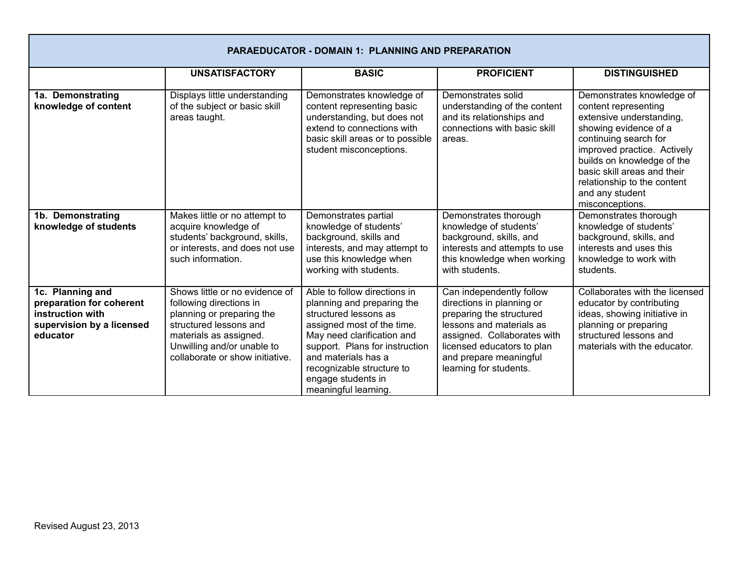| <b>PARAEDUCATOR - DOMAIN 1: PLANNING AND PREPARATION</b>                                                  |                                                                                                                                                                                                             |                                                                                                                                                                                                                                                                                     |                                                                                                                                                                                                                                |                                                                                                                                                                                                                                                                                                  |  |
|-----------------------------------------------------------------------------------------------------------|-------------------------------------------------------------------------------------------------------------------------------------------------------------------------------------------------------------|-------------------------------------------------------------------------------------------------------------------------------------------------------------------------------------------------------------------------------------------------------------------------------------|--------------------------------------------------------------------------------------------------------------------------------------------------------------------------------------------------------------------------------|--------------------------------------------------------------------------------------------------------------------------------------------------------------------------------------------------------------------------------------------------------------------------------------------------|--|
|                                                                                                           | <b>UNSATISFACTORY</b>                                                                                                                                                                                       | <b>BASIC</b>                                                                                                                                                                                                                                                                        | <b>PROFICIENT</b>                                                                                                                                                                                                              | <b>DISTINGUISHED</b>                                                                                                                                                                                                                                                                             |  |
| 1a. Demonstrating<br>knowledge of content                                                                 | Displays little understanding<br>of the subject or basic skill<br>areas taught.                                                                                                                             | Demonstrates knowledge of<br>content representing basic<br>understanding, but does not<br>extend to connections with<br>basic skill areas or to possible<br>student misconceptions.                                                                                                 | Demonstrates solid<br>understanding of the content<br>and its relationships and<br>connections with basic skill<br>areas.                                                                                                      | Demonstrates knowledge of<br>content representing<br>extensive understanding,<br>showing evidence of a<br>continuing search for<br>improved practice. Actively<br>builds on knowledge of the<br>basic skill areas and their<br>relationship to the content<br>and any student<br>misconceptions. |  |
| 1b. Demonstrating<br>knowledge of students                                                                | Makes little or no attempt to<br>acquire knowledge of<br>students' background, skills,<br>or interests, and does not use<br>such information.                                                               | Demonstrates partial<br>knowledge of students'<br>background, skills and<br>interests, and may attempt to<br>use this knowledge when<br>working with students.                                                                                                                      | Demonstrates thorough<br>knowledge of students'<br>background, skills, and<br>interests and attempts to use<br>this knowledge when working<br>with students.                                                                   | Demonstrates thorough<br>knowledge of students'<br>background, skills, and<br>interests and uses this<br>knowledge to work with<br>students.                                                                                                                                                     |  |
| 1c. Planning and<br>preparation for coherent<br>instruction with<br>supervision by a licensed<br>educator | Shows little or no evidence of<br>following directions in<br>planning or preparing the<br>structured lessons and<br>materials as assigned.<br>Unwilling and/or unable to<br>collaborate or show initiative. | Able to follow directions in<br>planning and preparing the<br>structured lessons as<br>assigned most of the time.<br>May need clarification and<br>support. Plans for instruction<br>and materials has a<br>recognizable structure to<br>engage students in<br>meaningful learning. | Can independently follow<br>directions in planning or<br>preparing the structured<br>lessons and materials as<br>assigned. Collaborates with<br>licensed educators to plan<br>and prepare meaningful<br>learning for students. | Collaborates with the licensed<br>educator by contributing<br>ideas, showing initiative in<br>planning or preparing<br>structured lessons and<br>materials with the educator.                                                                                                                    |  |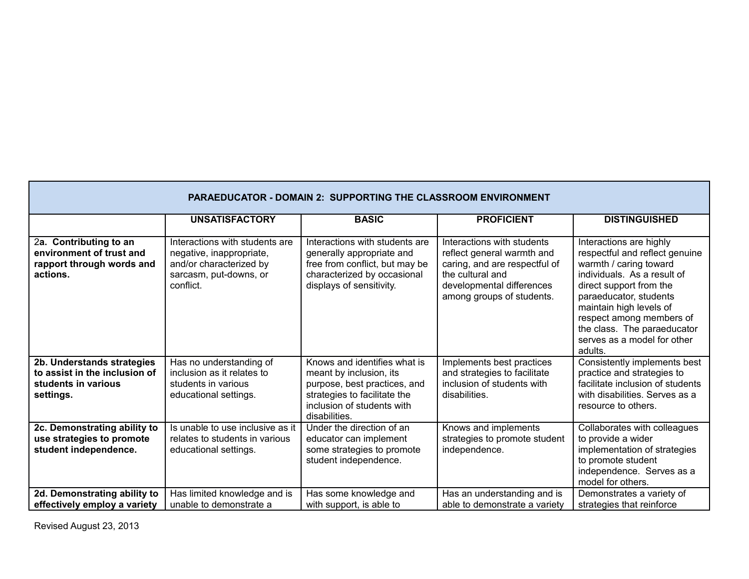| <b>PARAEDUCATOR - DOMAIN 2: SUPPORTING THE CLASSROOM ENVIRONMENT</b>                            |                                                                                                                              |                                                                                                                                                                        |                                                                                                                                                                         |                                                                                                                                                                                                                                                                                                         |  |
|-------------------------------------------------------------------------------------------------|------------------------------------------------------------------------------------------------------------------------------|------------------------------------------------------------------------------------------------------------------------------------------------------------------------|-------------------------------------------------------------------------------------------------------------------------------------------------------------------------|---------------------------------------------------------------------------------------------------------------------------------------------------------------------------------------------------------------------------------------------------------------------------------------------------------|--|
|                                                                                                 | <b>UNSATISFACTORY</b>                                                                                                        | <b>BASIC</b>                                                                                                                                                           | <b>PROFICIENT</b>                                                                                                                                                       | <b>DISTINGUISHED</b>                                                                                                                                                                                                                                                                                    |  |
| 2a. Contributing to an<br>environment of trust and<br>rapport through words and<br>actions.     | Interactions with students are<br>negative, inappropriate,<br>and/or characterized by<br>sarcasm, put-downs, or<br>conflict. | Interactions with students are<br>generally appropriate and<br>free from conflict, but may be<br>characterized by occasional<br>displays of sensitivity.               | Interactions with students<br>reflect general warmth and<br>caring, and are respectful of<br>the cultural and<br>developmental differences<br>among groups of students. | Interactions are highly<br>respectful and reflect genuine<br>warmth / caring toward<br>individuals. As a result of<br>direct support from the<br>paraeducator, students<br>maintain high levels of<br>respect among members of<br>the class. The paraeducator<br>serves as a model for other<br>adults. |  |
| 2b. Understands strategies<br>to assist in the inclusion of<br>students in various<br>settings. | Has no understanding of<br>inclusion as it relates to<br>students in various<br>educational settings.                        | Knows and identifies what is<br>meant by inclusion, its<br>purpose, best practices, and<br>strategies to facilitate the<br>inclusion of students with<br>disabilities. | Implements best practices<br>and strategies to facilitate<br>inclusion of students with<br>disabilities.                                                                | Consistently implements best<br>practice and strategies to<br>facilitate inclusion of students<br>with disabilities. Serves as a<br>resource to others.                                                                                                                                                 |  |
| 2c. Demonstrating ability to<br>use strategies to promote<br>student independence.              | Is unable to use inclusive as it<br>relates to students in various<br>educational settings.                                  | Under the direction of an<br>educator can implement<br>some strategies to promote<br>student independence.                                                             | Knows and implements<br>strategies to promote student<br>independence.                                                                                                  | Collaborates with colleagues<br>to provide a wider<br>implementation of strategies<br>to promote student<br>independence. Serves as a<br>model for others.                                                                                                                                              |  |
| 2d. Demonstrating ability to<br>effectively employ a variety                                    | Has limited knowledge and is<br>unable to demonstrate a                                                                      | Has some knowledge and<br>with support, is able to                                                                                                                     | Has an understanding and is<br>able to demonstrate a variety                                                                                                            | Demonstrates a variety of<br>strategies that reinforce                                                                                                                                                                                                                                                  |  |

Revised August 23, 2013

Г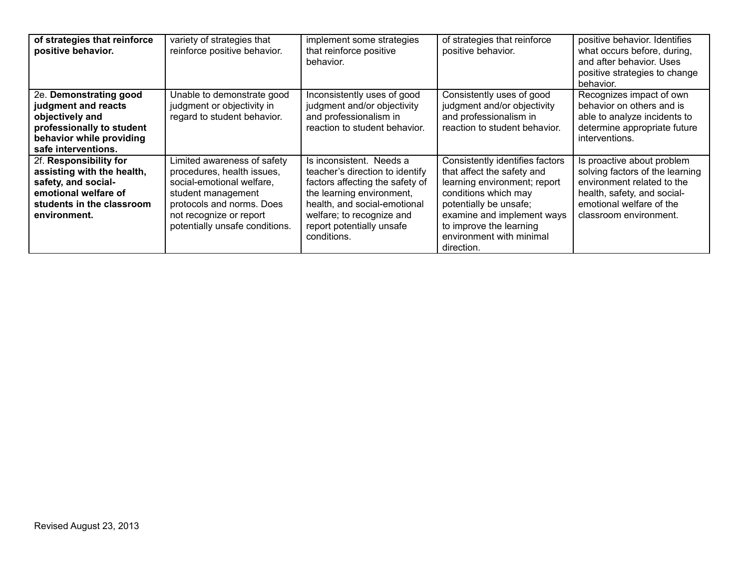| of strategies that reinforce<br>positive behavior.                                                                                               | variety of strategies that<br>reinforce positive behavior.                                                                                                                                             | implement some strategies<br>that reinforce positive<br>behavior.                                                                                                                                                                    | of strategies that reinforce<br>positive behavior.                                                                                                                                                                                                 | positive behavior. Identifies<br>what occurs before, during,<br>and after behavior. Uses<br>positive strategies to change<br>behavior.                                           |
|--------------------------------------------------------------------------------------------------------------------------------------------------|--------------------------------------------------------------------------------------------------------------------------------------------------------------------------------------------------------|--------------------------------------------------------------------------------------------------------------------------------------------------------------------------------------------------------------------------------------|----------------------------------------------------------------------------------------------------------------------------------------------------------------------------------------------------------------------------------------------------|----------------------------------------------------------------------------------------------------------------------------------------------------------------------------------|
| 2e. Demonstrating good<br>judgment and reacts<br>objectively and<br>professionally to student<br>behavior while providing<br>safe interventions. | Unable to demonstrate good<br>judgment or objectivity in<br>regard to student behavior.                                                                                                                | Inconsistently uses of good<br>judgment and/or objectivity<br>and professionalism in<br>reaction to student behavior.                                                                                                                | Consistently uses of good<br>judgment and/or objectivity<br>and professionalism in<br>reaction to student behavior.                                                                                                                                | Recognizes impact of own<br>behavior on others and is<br>able to analyze incidents to<br>determine appropriate future<br>interventions.                                          |
| 2f. Responsibility for<br>assisting with the health,<br>safety, and social-<br>emotional welfare of<br>students in the classroom<br>environment. | Limited awareness of safety<br>procedures, health issues,<br>social-emotional welfare,<br>student management<br>protocols and norms. Does<br>not recognize or report<br>potentially unsafe conditions. | Is inconsistent. Needs a<br>teacher's direction to identify<br>factors affecting the safety of<br>the learning environment,<br>health, and social-emotional<br>welfare; to recognize and<br>report potentially unsafe<br>conditions. | Consistently identifies factors<br>that affect the safety and<br>learning environment; report<br>conditions which may<br>potentially be unsafe;<br>examine and implement ways<br>to improve the learning<br>environment with minimal<br>direction. | Is proactive about problem<br>solving factors of the learning<br>environment related to the<br>health, safety, and social-<br>emotional welfare of the<br>classroom environment. |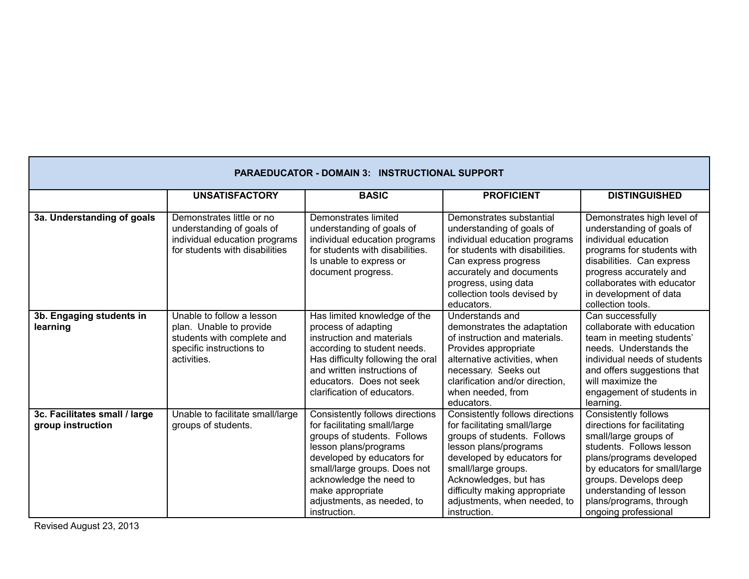| <b>PARAEDUCATOR - DOMAIN 3: INSTRUCTIONAL SUPPORT</b> |                                                                                                                               |                                                                                                                                                                                                                                                                                    |                                                                                                                                                                                                                                                                                        |                                                                                                                                                                                                                                                                                    |  |
|-------------------------------------------------------|-------------------------------------------------------------------------------------------------------------------------------|------------------------------------------------------------------------------------------------------------------------------------------------------------------------------------------------------------------------------------------------------------------------------------|----------------------------------------------------------------------------------------------------------------------------------------------------------------------------------------------------------------------------------------------------------------------------------------|------------------------------------------------------------------------------------------------------------------------------------------------------------------------------------------------------------------------------------------------------------------------------------|--|
|                                                       | <b>UNSATISFACTORY</b>                                                                                                         | <b>BASIC</b>                                                                                                                                                                                                                                                                       | <b>PROFICIENT</b>                                                                                                                                                                                                                                                                      | <b>DISTINGUISHED</b>                                                                                                                                                                                                                                                               |  |
| 3a. Understanding of goals                            | Demonstrates little or no<br>understanding of goals of<br>individual education programs<br>for students with disabilities     | Demonstrates limited<br>understanding of goals of<br>individual education programs<br>for students with disabilities.<br>Is unable to express or<br>document progress.                                                                                                             | Demonstrates substantial<br>understanding of goals of<br>individual education programs<br>for students with disabilities.<br>Can express progress<br>accurately and documents<br>progress, using data<br>collection tools devised by<br>educators.                                     | Demonstrates high level of<br>understanding of goals of<br>individual education<br>programs for students with<br>disabilities. Can express<br>progress accurately and<br>collaborates with educator<br>in development of data<br>collection tools.                                 |  |
| 3b. Engaging students in<br>learning                  | Unable to follow a lesson<br>plan. Unable to provide<br>students with complete and<br>specific instructions to<br>activities. | Has limited knowledge of the<br>process of adapting<br>instruction and materials<br>according to student needs.<br>Has difficulty following the oral<br>and written instructions of<br>educators. Does not seek<br>clarification of educators.                                     | Understands and<br>demonstrates the adaptation<br>of instruction and materials.<br>Provides appropriate<br>alternative activities, when<br>necessary. Seeks out<br>clarification and/or direction,<br>when needed, from<br>educators.                                                  | Can successfully<br>collaborate with education<br>team in meeting students'<br>needs. Understands the<br>individual needs of students<br>and offers suggestions that<br>will maximize the<br>engagement of students in<br>learning.                                                |  |
| 3c. Facilitates small / large<br>group instruction    | Unable to facilitate small/large<br>groups of students.                                                                       | Consistently follows directions<br>for facilitating small/large<br>groups of students. Follows<br>lesson plans/programs<br>developed by educators for<br>small/large groups. Does not<br>acknowledge the need to<br>make appropriate<br>adjustments, as needed, to<br>instruction. | Consistently follows directions<br>for facilitating small/large<br>groups of students. Follows<br>lesson plans/programs<br>developed by educators for<br>small/large groups.<br>Acknowledges, but has<br>difficulty making appropriate<br>adjustments, when needed, to<br>instruction. | <b>Consistently follows</b><br>directions for facilitating<br>small/large groups of<br>students. Follows lesson<br>plans/programs developed<br>by educators for small/large<br>groups. Develops deep<br>understanding of lesson<br>plans/programs, through<br>ongoing professional |  |

Revised August 23, 2013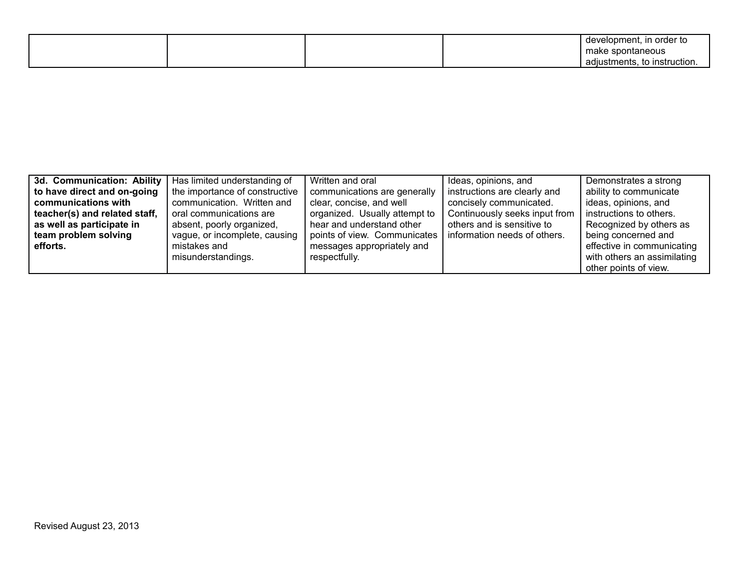|  |  | , in order to<br>development, |
|--|--|-------------------------------|
|  |  | make spontaneous              |
|  |  | adjustments, to instruction.  |

| 3d. Communication: Ability    | Has limited understanding of   | Written and oral              | Ideas, opinions, and          | Demonstrates a strong       |
|-------------------------------|--------------------------------|-------------------------------|-------------------------------|-----------------------------|
| to have direct and on-going   | the importance of constructive | communications are generally  | instructions are clearly and  | ability to communicate      |
| communications with           | communication. Written and     | clear, concise, and well      | concisely communicated.       | ideas, opinions, and        |
| teacher(s) and related staff, | oral communications are        | organized. Usually attempt to | Continuously seeks input from | instructions to others.     |
| as well as participate in     | absent, poorly organized,      | hear and understand other     | others and is sensitive to    | Recognized by others as     |
| team problem solving          | vague, or incomplete, causing  | points of view. Communicates  | information needs of others.  | being concerned and         |
| efforts.                      | mistakes and                   | messages appropriately and    |                               | effective in communicating  |
|                               | misunderstandings.             | respectfully.                 |                               | with others an assimilating |
|                               |                                |                               |                               | other points of view.       |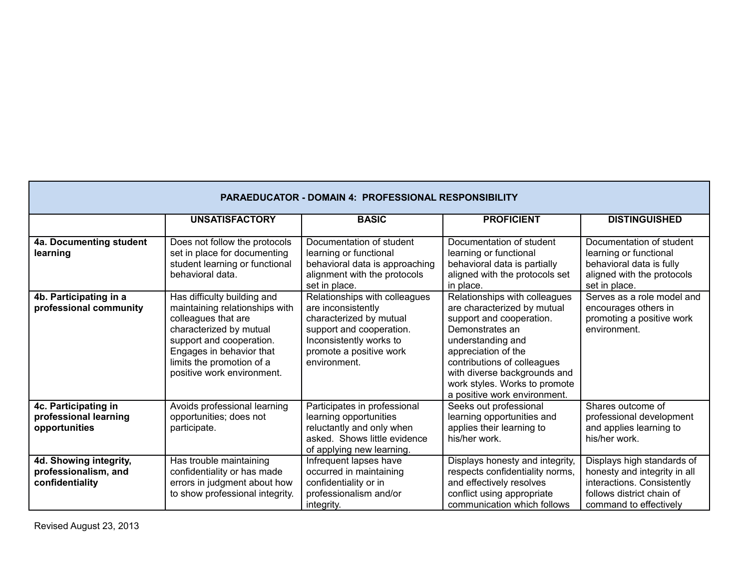| <b>PARAEDUCATOR - DOMAIN 4: PROFESSIONAL RESPONSIBILITY</b>       |                                                                                                                                                                                                                                    |                                                                                                                                                                                  |                                                                                                                                                                                                                                                                                         |                                                                                                                                                 |  |
|-------------------------------------------------------------------|------------------------------------------------------------------------------------------------------------------------------------------------------------------------------------------------------------------------------------|----------------------------------------------------------------------------------------------------------------------------------------------------------------------------------|-----------------------------------------------------------------------------------------------------------------------------------------------------------------------------------------------------------------------------------------------------------------------------------------|-------------------------------------------------------------------------------------------------------------------------------------------------|--|
|                                                                   | <b>UNSATISFACTORY</b>                                                                                                                                                                                                              | <b>BASIC</b>                                                                                                                                                                     | <b>PROFICIENT</b>                                                                                                                                                                                                                                                                       | <b>DISTINGUISHED</b>                                                                                                                            |  |
| 4a. Documenting student<br>learning                               | Does not follow the protocols<br>set in place for documenting<br>student learning or functional<br>behavioral data.                                                                                                                | Documentation of student<br>learning or functional<br>behavioral data is approaching<br>alignment with the protocols<br>set in place.                                            | Documentation of student<br>learning or functional<br>behavioral data is partially<br>aligned with the protocols set<br>in place.                                                                                                                                                       | Documentation of student<br>learning or functional<br>behavioral data is fully<br>aligned with the protocols<br>set in place.                   |  |
| 4b. Participating in a<br>professional community                  | Has difficulty building and<br>maintaining relationships with<br>colleagues that are<br>characterized by mutual<br>support and cooperation.<br>Engages in behavior that<br>limits the promotion of a<br>positive work environment. | Relationships with colleagues<br>are inconsistently<br>characterized by mutual<br>support and cooperation.<br>Inconsistently works to<br>promote a positive work<br>environment. | Relationships with colleagues<br>are characterized by mutual<br>support and cooperation.<br>Demonstrates an<br>understanding and<br>appreciation of the<br>contributions of colleagues<br>with diverse backgrounds and<br>work styles. Works to promote<br>a positive work environment. | Serves as a role model and<br>encourages others in<br>promoting a positive work<br>environment.                                                 |  |
| 4c. Participating in<br>professional learning<br>opportunities    | Avoids professional learning<br>opportunities; does not<br>participate.                                                                                                                                                            | Participates in professional<br>learning opportunities<br>reluctantly and only when<br>asked. Shows little evidence<br>of applying new learning.                                 | Seeks out professional<br>learning opportunities and<br>applies their learning to<br>his/her work.                                                                                                                                                                                      | Shares outcome of<br>professional development<br>and applies learning to<br>his/her work.                                                       |  |
| 4d. Showing integrity,<br>professionalism, and<br>confidentiality | Has trouble maintaining<br>confidentiality or has made<br>errors in judgment about how<br>to show professional integrity.                                                                                                          | Infrequent lapses have<br>occurred in maintaining<br>confidentiality or in<br>professionalism and/or<br>integrity.                                                               | Displays honesty and integrity,<br>respects confidentiality norms,<br>and effectively resolves<br>conflict using appropriate<br>communication which follows                                                                                                                             | Displays high standards of<br>honesty and integrity in all<br>interactions. Consistently<br>follows district chain of<br>command to effectively |  |

Г